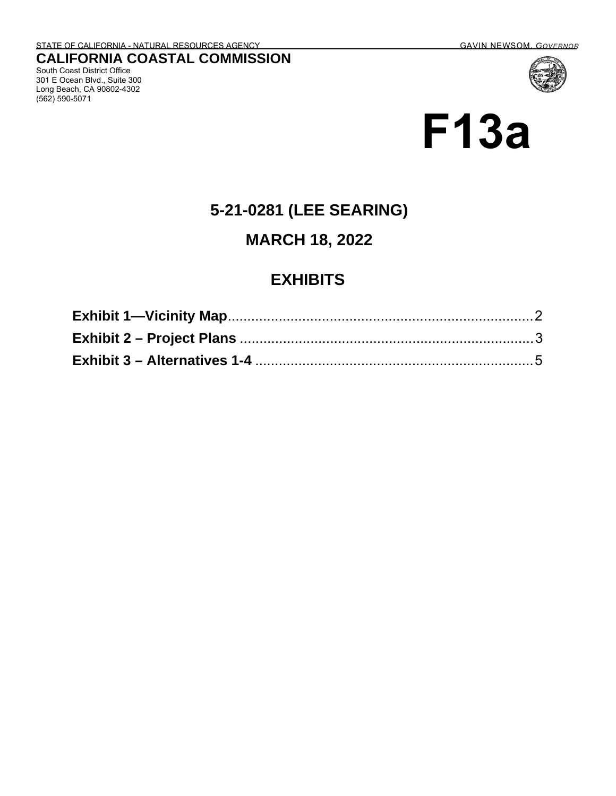South Coast District Office 301 E Ocean Blvd., Suite 300 Long Beach, CA 90802-4302

(562) 590-5071

# **F13a**

## **5-21-0281 (LEE SEARING)**

#### **MARCH 18, 2022**

### **EXHIBITS**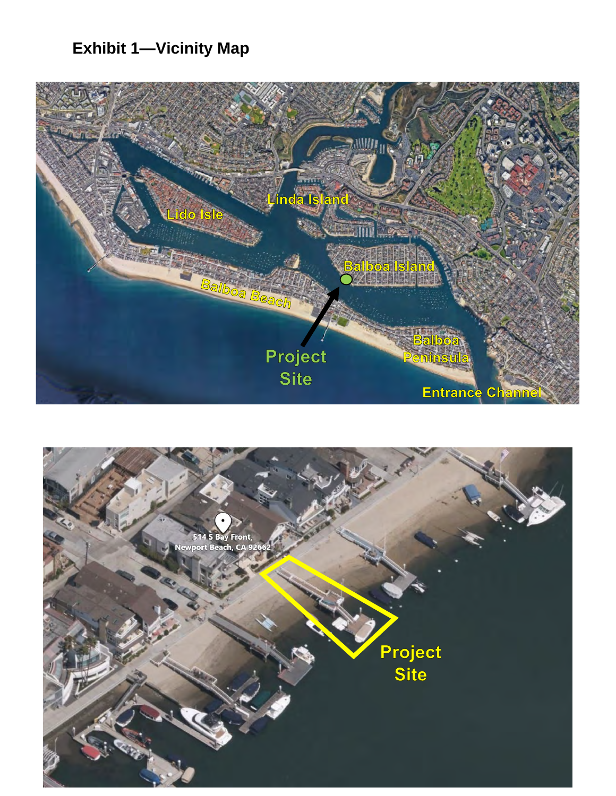# <span id="page-1-0"></span>**Exhibit 1—Vicinity Map**

<span id="page-1-1"></span>

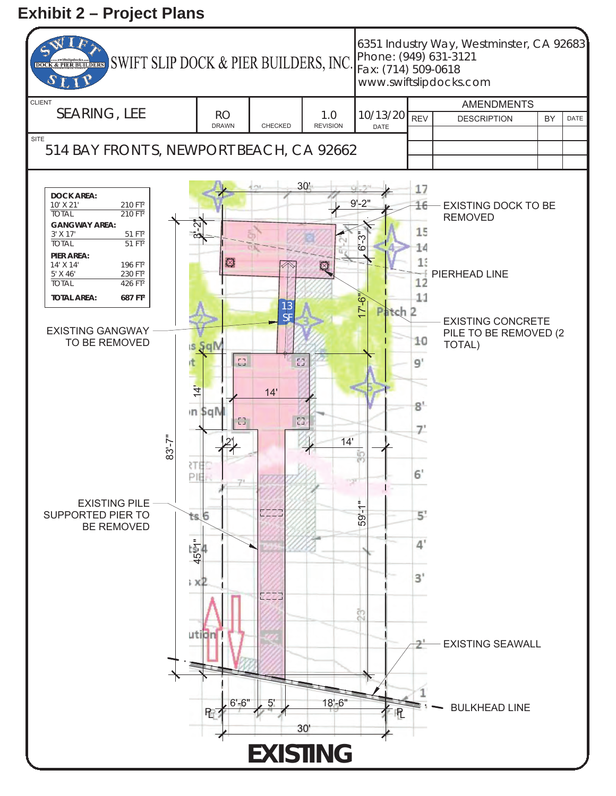#### <span id="page-2-0"></span>**Exhibit 2 – Project Plans**

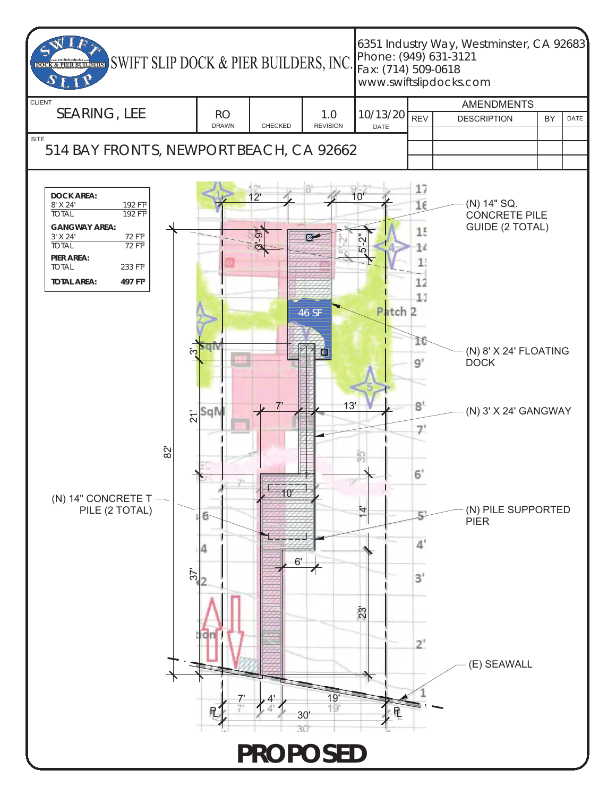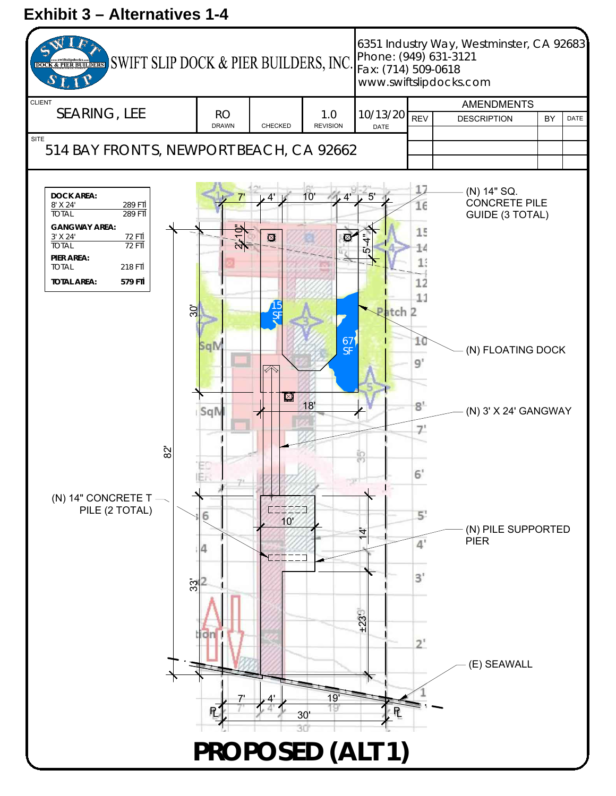### <span id="page-4-0"></span>**Exhibit 3 – Alternatives 1-4**

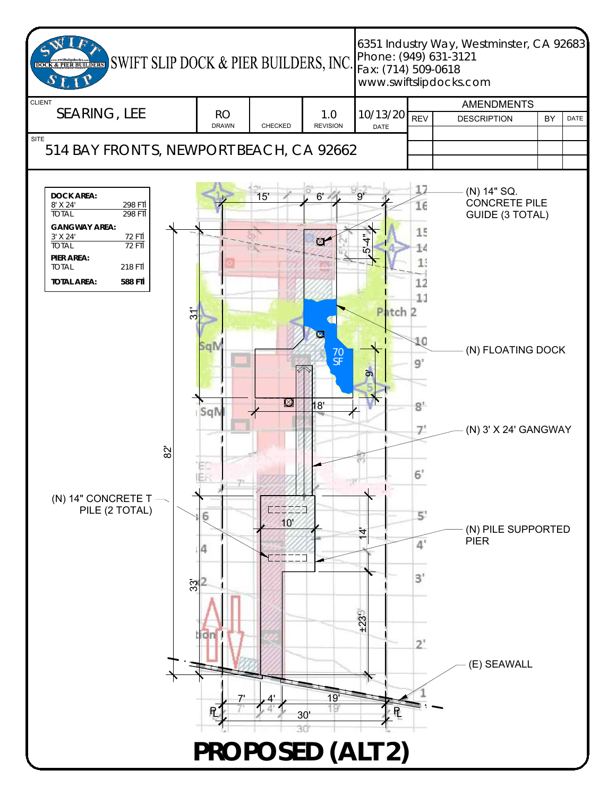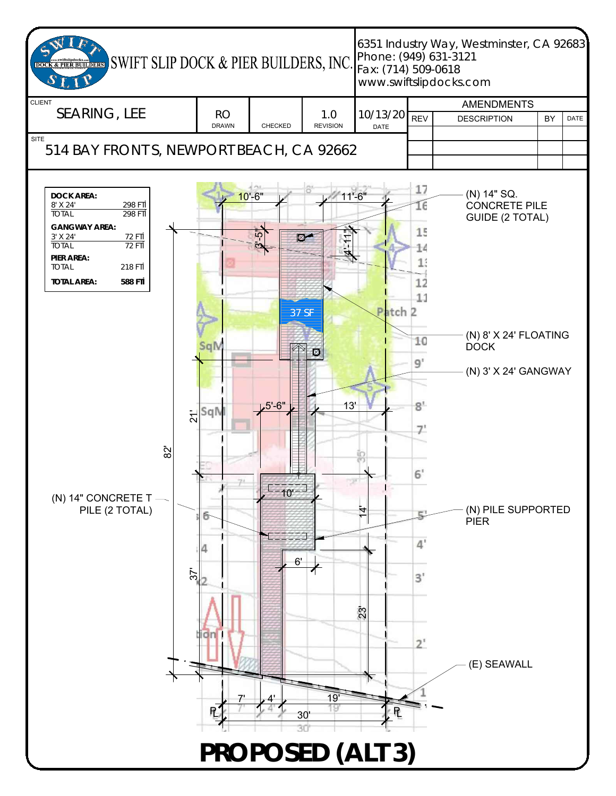